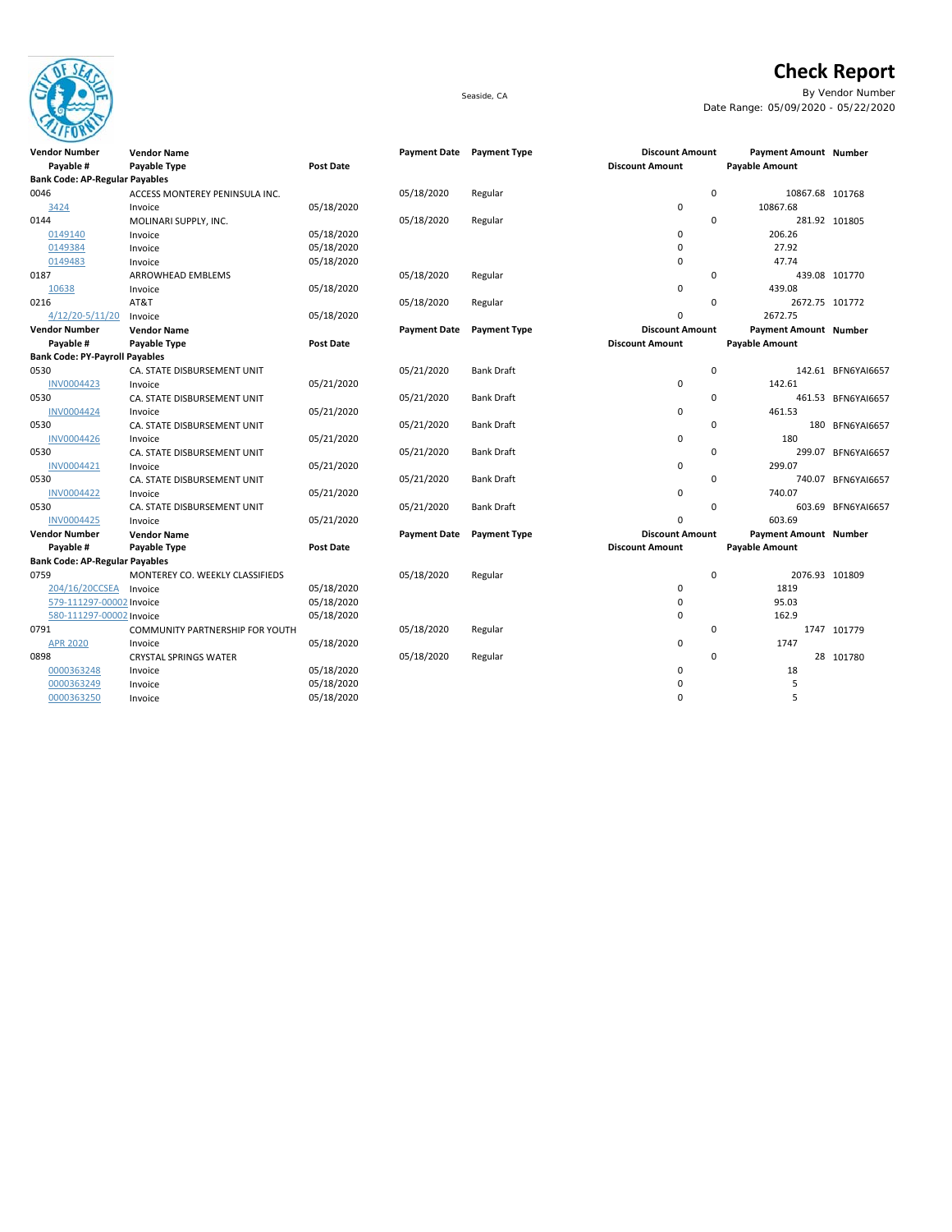

## **Check Report**

Seaside, CA By Vendor Number Date Range: 05/09/2020 - 05/22/2020

| $\sim$                                |                                 |                  |                           |                     |                        |                       |                    |
|---------------------------------------|---------------------------------|------------------|---------------------------|---------------------|------------------------|-----------------------|--------------------|
| <b>Vendor Number</b>                  | <b>Vendor Name</b>              |                  | Payment Date Payment Type |                     | <b>Discount Amount</b> | Payment Amount Number |                    |
| Payable #                             | Payable Type                    | <b>Post Date</b> |                           |                     | <b>Discount Amount</b> | <b>Payable Amount</b> |                    |
| <b>Bank Code: AP-Regular Payables</b> |                                 |                  |                           |                     |                        |                       |                    |
| 0046                                  | ACCESS MONTEREY PENINSULA INC.  |                  | 05/18/2020                | Regular             | $\mathbf 0$            | 10867.68 101768       |                    |
| 3424                                  | Invoice                         | 05/18/2020       |                           |                     | 0                      | 10867.68              |                    |
| 0144                                  | MOLINARI SUPPLY, INC.           |                  | 05/18/2020                | Regular             | $\mathbf 0$            |                       | 281.92 101805      |
| 0149140                               | Invoice                         | 05/18/2020       |                           |                     | 0                      | 206.26                |                    |
| 0149384                               | Invoice                         | 05/18/2020       |                           |                     | 0                      | 27.92                 |                    |
| 0149483                               | Invoice                         | 05/18/2020       |                           |                     | 0                      | 47.74                 |                    |
| 0187                                  | ARROWHEAD EMBLEMS               |                  | 05/18/2020                | Regular             | 0                      |                       | 439.08 101770      |
| 10638                                 | Invoice                         | 05/18/2020       |                           |                     | 0                      | 439.08                |                    |
| 0216                                  | AT&T                            |                  | 05/18/2020                | Regular             | $\Omega$               | 2672.75 101772        |                    |
| 4/12/20-5/11/20                       | Invoice                         | 05/18/2020       |                           |                     | 0                      | 2672.75               |                    |
| <b>Vendor Number</b>                  | <b>Vendor Name</b>              |                  | <b>Payment Date</b>       | <b>Payment Type</b> | <b>Discount Amount</b> | Payment Amount Number |                    |
| Payable #                             | Payable Type                    | <b>Post Date</b> |                           |                     | <b>Discount Amount</b> | <b>Payable Amount</b> |                    |
| <b>Bank Code: PY-Payroll Payables</b> |                                 |                  |                           |                     |                        |                       |                    |
| 0530                                  | CA. STATE DISBURSEMENT UNIT     |                  | 05/21/2020                | <b>Bank Draft</b>   | $\mathbf 0$            |                       | 142.61 BFN6YAI6657 |
| <b>INV0004423</b>                     | Invoice                         | 05/21/2020       |                           |                     | 0                      | 142.61                |                    |
| 0530                                  | CA. STATE DISBURSEMENT UNIT     |                  | 05/21/2020                | <b>Bank Draft</b>   | 0                      |                       | 461.53 BFN6YAI6657 |
| <b>INV0004424</b>                     | Invoice                         | 05/21/2020       |                           |                     | 0                      | 461.53                |                    |
| 0530                                  | CA. STATE DISBURSEMENT UNIT     |                  | 05/21/2020                | <b>Bank Draft</b>   | 0                      |                       | 180 BFN6YAI6657    |
| <b>INV0004426</b>                     | Invoice                         | 05/21/2020       |                           |                     | 0                      | 180                   |                    |
| 0530                                  | CA. STATE DISBURSEMENT UNIT     |                  | 05/21/2020                | <b>Bank Draft</b>   | $\mathbf 0$            |                       | 299.07 BFN6YAI6657 |
| INV0004421                            | Invoice                         | 05/21/2020       |                           |                     | 0                      | 299.07                |                    |
| 0530                                  | CA. STATE DISBURSEMENT UNIT     |                  | 05/21/2020                | <b>Bank Draft</b>   | $\mathbf 0$            |                       | 740.07 BFN6YAI6657 |
| <b>INV0004422</b>                     | Invoice                         | 05/21/2020       |                           |                     | 0                      | 740.07                |                    |
| 0530                                  | CA. STATE DISBURSEMENT UNIT     |                  | 05/21/2020                | <b>Bank Draft</b>   | $\mathbf 0$            |                       | 603.69 BFN6YAI6657 |
| <b>INV0004425</b>                     | Invoice                         | 05/21/2020       |                           |                     | 0                      | 603.69                |                    |
| <b>Vendor Number</b>                  | <b>Vendor Name</b>              |                  | <b>Payment Date</b>       | <b>Payment Type</b> | <b>Discount Amount</b> | Payment Amount Number |                    |
| Payable #                             | Payable Type                    | <b>Post Date</b> |                           |                     | <b>Discount Amount</b> | <b>Payable Amount</b> |                    |
| <b>Bank Code: AP-Regular Payables</b> |                                 |                  |                           |                     |                        |                       |                    |
| 0759                                  | MONTEREY CO. WEEKLY CLASSIFIEDS |                  | 05/18/2020                | Regular             | $\Omega$               | 2076.93 101809        |                    |
| 204/16/20CCSEA                        | Invoice                         | 05/18/2020       |                           |                     | 0                      | 1819                  |                    |
| 579-111297-00002 Invoice              |                                 | 05/18/2020       |                           |                     | 0                      | 95.03                 |                    |
| 580-111297-00002 Invoice              |                                 | 05/18/2020       |                           |                     | 0                      | 162.9                 |                    |
| 0791                                  | COMMUNITY PARTNERSHIP FOR YOUTH |                  | 05/18/2020                | Regular             | 0                      |                       | 1747 101779        |
| <b>APR 2020</b>                       | Invoice                         | 05/18/2020       |                           |                     | 0                      | 1747                  |                    |
| 0898                                  | <b>CRYSTAL SPRINGS WATER</b>    |                  | 05/18/2020                | Regular             | $\mathbf 0$            |                       | 28 101780          |
| 0000363248                            | Invoice                         | 05/18/2020       |                           |                     | 0                      | 18                    |                    |
| 0000363249                            | Invoice                         | 05/18/2020       |                           |                     | 0                      | 5                     |                    |
| 0000363250                            | Invoice                         | 05/18/2020       |                           |                     | 0                      | 5                     |                    |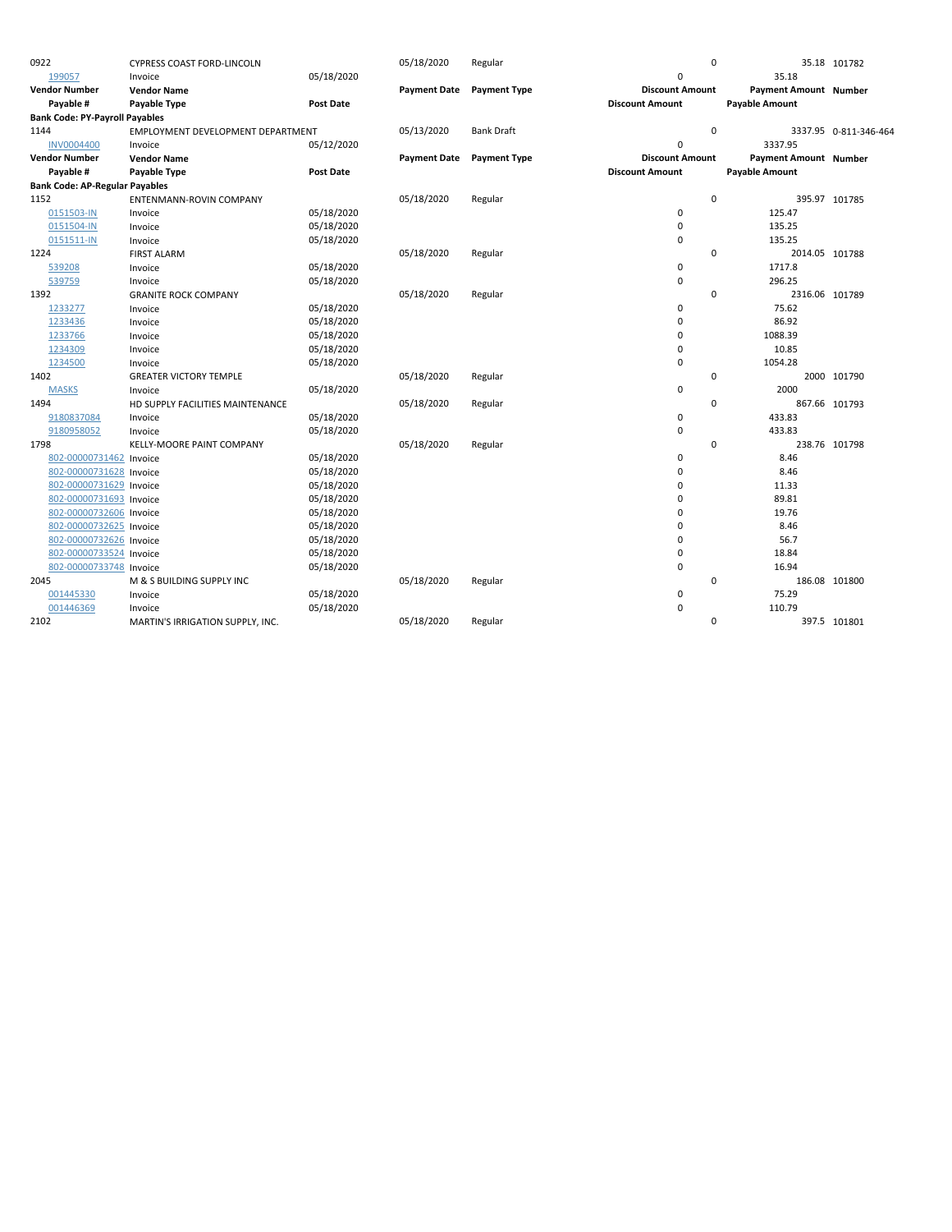| 0922                                  | <b>CYPRESS COAST FORD-LINCOLN</b> |                  | 05/18/2020          | Regular             | $\mathbf 0$            |                              | 35.18 101782          |
|---------------------------------------|-----------------------------------|------------------|---------------------|---------------------|------------------------|------------------------------|-----------------------|
| 199057                                | Invoice                           | 05/18/2020       |                     |                     | $\mathbf 0$            | 35.18                        |                       |
| <b>Vendor Number</b>                  | <b>Vendor Name</b>                |                  | <b>Payment Date</b> | <b>Payment Type</b> | <b>Discount Amount</b> | <b>Payment Amount Number</b> |                       |
| Payable #                             | Payable Type                      | <b>Post Date</b> |                     |                     | <b>Discount Amount</b> | <b>Payable Amount</b>        |                       |
| <b>Bank Code: PY-Payroll Payables</b> |                                   |                  |                     |                     |                        |                              |                       |
| 1144                                  | EMPLOYMENT DEVELOPMENT DEPARTMENT |                  | 05/13/2020          | <b>Bank Draft</b>   | $\mathbf 0$            |                              | 3337.95 0-811-346-464 |
| <b>INV0004400</b>                     | Invoice                           | 05/12/2020       |                     |                     | $\mathbf 0$            | 3337.95                      |                       |
| <b>Vendor Number</b>                  | <b>Vendor Name</b>                |                  | <b>Payment Date</b> | <b>Payment Type</b> | <b>Discount Amount</b> | Payment Amount Number        |                       |
| Payable #                             | Payable Type                      | <b>Post Date</b> |                     |                     | <b>Discount Amount</b> | <b>Payable Amount</b>        |                       |
| <b>Bank Code: AP-Regular Payables</b> |                                   |                  |                     |                     |                        |                              |                       |
| 1152                                  | ENTENMANN-ROVIN COMPANY           |                  | 05/18/2020          | Regular             | $\mathbf 0$            |                              | 395.97 101785         |
| 0151503-IN                            | Invoice                           | 05/18/2020       |                     |                     | 0                      | 125.47                       |                       |
| 0151504-IN                            | Invoice                           | 05/18/2020       |                     |                     | $\mathbf 0$            | 135.25                       |                       |
| 0151511-IN                            | Invoice                           | 05/18/2020       |                     |                     | $\mathbf 0$            | 135.25                       |                       |
| 1224                                  | <b>FIRST ALARM</b>                |                  | 05/18/2020          | Regular             | 0                      | 2014.05 101788               |                       |
| 539208                                | Invoice                           | 05/18/2020       |                     |                     | $\pmb{0}$              | 1717.8                       |                       |
| 539759                                | Invoice                           | 05/18/2020       |                     |                     | $\pmb{0}$              | 296.25                       |                       |
| 1392                                  | <b>GRANITE ROCK COMPANY</b>       |                  | 05/18/2020          | Regular             | 0                      | 2316.06 101789               |                       |
| 1233277                               | Invoice                           | 05/18/2020       |                     |                     | $\pmb{0}$              | 75.62                        |                       |
| 1233436                               | Invoice                           | 05/18/2020       |                     |                     | $\mathbf 0$            | 86.92                        |                       |
| 1233766                               | Invoice                           | 05/18/2020       |                     |                     | $\mathbf 0$            | 1088.39                      |                       |
| 1234309                               | Invoice                           | 05/18/2020       |                     |                     | $\mathbf 0$            | 10.85                        |                       |
| 1234500                               | Invoice                           | 05/18/2020       |                     |                     | $\pmb{0}$              | 1054.28                      |                       |
| 1402                                  | <b>GREATER VICTORY TEMPLE</b>     |                  | 05/18/2020          | Regular             | 0                      |                              | 2000 101790           |
| <b>MASKS</b>                          | Invoice                           | 05/18/2020       |                     |                     | $\pmb{0}$              | 2000                         |                       |
| 1494                                  | HD SUPPLY FACILITIES MAINTENANCE  |                  | 05/18/2020          | Regular             | 0                      |                              | 867.66 101793         |
| 9180837084                            | Invoice                           | 05/18/2020       |                     |                     | $\pmb{0}$              | 433.83                       |                       |
| 9180958052                            | Invoice                           | 05/18/2020       |                     |                     | $\mathbf 0$            | 433.83                       |                       |
| 1798                                  | <b>KELLY-MOORE PAINT COMPANY</b>  |                  | 05/18/2020          | Regular             | 0                      |                              | 238.76 101798         |
| 802-00000731462 Invoice               |                                   | 05/18/2020       |                     |                     | $\pmb{0}$              | 8.46                         |                       |
| 802-00000731628 Invoice               |                                   | 05/18/2020       |                     |                     | $\mathbf 0$            | 8.46                         |                       |
| 802-00000731629 Invoice               |                                   | 05/18/2020       |                     |                     | $\Omega$               | 11.33                        |                       |
| 802-00000731693 Invoice               |                                   | 05/18/2020       |                     |                     | 0                      | 89.81                        |                       |
| 802-00000732606 Invoice               |                                   | 05/18/2020       |                     |                     | $\Omega$               | 19.76                        |                       |
| 802-00000732625 Invoice               |                                   | 05/18/2020       |                     |                     | $\mathbf 0$            | 8.46                         |                       |
| 802-00000732626 Invoice               |                                   | 05/18/2020       |                     |                     | $\Omega$               | 56.7                         |                       |
| 802-00000733524 Invoice               |                                   | 05/18/2020       |                     |                     | 0                      | 18.84                        |                       |
| 802-00000733748 Invoice               |                                   | 05/18/2020       |                     |                     | $\mathbf 0$            | 16.94                        |                       |
| 2045                                  | M & S BUILDING SUPPLY INC         |                  | 05/18/2020          | Regular             | 0                      |                              | 186.08 101800         |
| 001445330                             | Invoice                           | 05/18/2020       |                     |                     | $\pmb{0}$              | 75.29                        |                       |
| 001446369                             | Invoice                           | 05/18/2020       |                     |                     | $\mathbf 0$            | 110.79                       |                       |
| 2102                                  | MARTIN'S IRRIGATION SUPPLY, INC.  |                  | 05/18/2020          | Regular             | 0                      |                              | 397.5 101801          |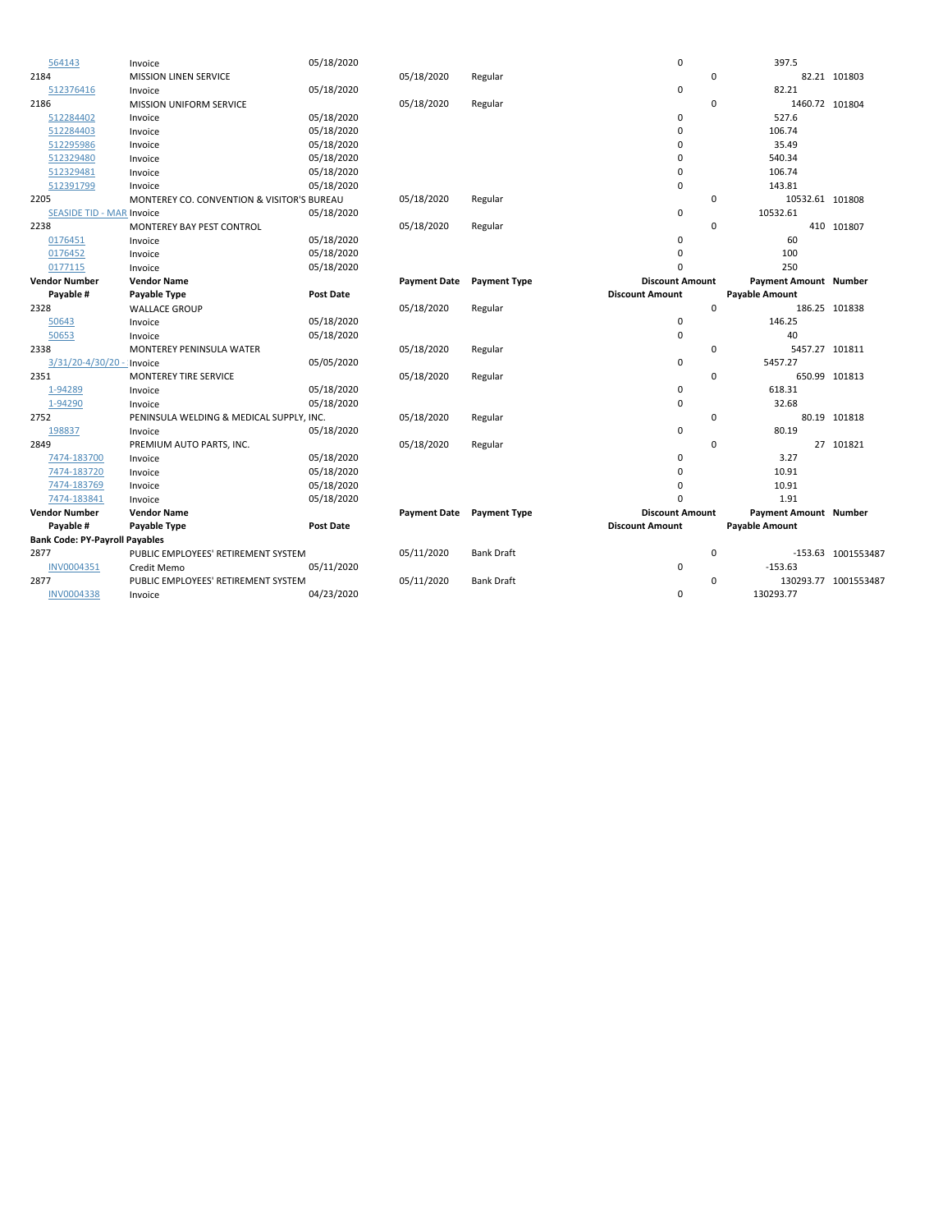| 564143                                | Invoice                                               | 05/18/2020       |                     |                     | 0                      |             | 397.5                 |                      |
|---------------------------------------|-------------------------------------------------------|------------------|---------------------|---------------------|------------------------|-------------|-----------------------|----------------------|
| 2184                                  | <b>MISSION LINEN SERVICE</b>                          |                  | 05/18/2020          | Regular             |                        | 0           |                       | 82.21 101803         |
| 512376416                             | Invoice                                               | 05/18/2020       |                     |                     | 0                      |             | 82.21                 |                      |
| 2186                                  | MISSION UNIFORM SERVICE                               |                  | 05/18/2020          | Regular             |                        | $\mathbf 0$ | 1460.72 101804        |                      |
| 512284402                             | Invoice                                               | 05/18/2020       |                     |                     | 0                      |             | 527.6                 |                      |
| 512284403                             | Invoice                                               | 05/18/2020       |                     |                     | 0                      |             | 106.74                |                      |
| 512295986                             | Invoice                                               | 05/18/2020       |                     |                     | $\Omega$               |             | 35.49                 |                      |
| 512329480                             | Invoice                                               | 05/18/2020       |                     |                     | 0                      |             | 540.34                |                      |
| 512329481                             | Invoice                                               | 05/18/2020       |                     |                     | 0                      |             | 106.74                |                      |
| 512391799                             | Invoice                                               | 05/18/2020       |                     |                     | 0                      |             | 143.81                |                      |
| 2205                                  | <b>MONTEREY CO. CONVENTION &amp; VISITOR'S BUREAU</b> |                  | 05/18/2020          | Regular             |                        | 0           | 10532.61 101808       |                      |
| <b>SEASIDE TID - MAR Invoice</b>      |                                                       | 05/18/2020       |                     |                     | 0                      |             | 10532.61              |                      |
| 2238                                  | <b>MONTEREY BAY PEST CONTROL</b>                      |                  | 05/18/2020          | Regular             |                        | 0           |                       | 410 101807           |
| 0176451                               | Invoice                                               | 05/18/2020       |                     |                     | 0                      |             | 60                    |                      |
| 0176452                               | Invoice                                               | 05/18/2020       |                     |                     | 0                      |             | 100                   |                      |
| 0177115                               | Invoice                                               | 05/18/2020       |                     |                     | $\Omega$               |             | 250                   |                      |
| <b>Vendor Number</b>                  | <b>Vendor Name</b>                                    |                  | <b>Payment Date</b> | <b>Payment Type</b> | <b>Discount Amount</b> |             | Payment Amount Number |                      |
| Payable #                             | Payable Type                                          | <b>Post Date</b> |                     |                     | <b>Discount Amount</b> |             | <b>Payable Amount</b> |                      |
| 2328                                  | <b>WALLACE GROUP</b>                                  |                  | 05/18/2020          | Regular             |                        | $\mathbf 0$ |                       | 186.25 101838        |
| 50643                                 | Invoice                                               | 05/18/2020       |                     |                     | 0                      |             | 146.25                |                      |
| 50653                                 | Invoice                                               | 05/18/2020       |                     |                     | $\mathbf 0$            |             | 40                    |                      |
| 2338                                  | <b>MONTEREY PENINSULA WATER</b>                       |                  | 05/18/2020          | Regular             |                        | 0           | 5457.27 101811        |                      |
| 3/31/20-4/30/20 - : Invoice           |                                                       | 05/05/2020       |                     |                     | 0                      |             | 5457.27               |                      |
| 2351                                  | <b>MONTEREY TIRE SERVICE</b>                          |                  | 05/18/2020          | Regular             |                        | $\Omega$    |                       | 650.99 101813        |
| 1-94289                               | Invoice                                               | 05/18/2020       |                     |                     | 0                      |             | 618.31                |                      |
| 1-94290                               | Invoice                                               | 05/18/2020       |                     |                     | 0                      |             | 32.68                 |                      |
| 2752                                  | PENINSULA WELDING & MEDICAL SUPPLY, INC.              |                  | 05/18/2020          | Regular             |                        | 0           |                       | 80.19 101818         |
| 198837                                | Invoice                                               | 05/18/2020       |                     |                     | 0                      |             | 80.19                 |                      |
| 2849                                  | PREMIUM AUTO PARTS, INC.                              |                  | 05/18/2020          | Regular             |                        | 0           |                       | 27 101821            |
| 7474-183700                           | Invoice                                               | 05/18/2020       |                     |                     | 0                      |             | 3.27                  |                      |
| 7474-183720                           | Invoice                                               | 05/18/2020       |                     |                     | $\Omega$               |             | 10.91                 |                      |
| 7474-183769                           | Invoice                                               | 05/18/2020       |                     |                     | 0                      |             | 10.91                 |                      |
| 7474-183841                           | Invoice                                               | 05/18/2020       |                     |                     | O                      |             | 1.91                  |                      |
| <b>Vendor Number</b>                  | <b>Vendor Name</b>                                    |                  | <b>Payment Date</b> | <b>Payment Type</b> | <b>Discount Amount</b> |             | Payment Amount Number |                      |
| Payable #                             | Payable Type                                          | <b>Post Date</b> |                     |                     | <b>Discount Amount</b> |             | <b>Payable Amount</b> |                      |
| <b>Bank Code: PY-Payroll Payables</b> |                                                       |                  |                     |                     |                        |             |                       |                      |
| 2877                                  | PUBLIC EMPLOYEES' RETIREMENT SYSTEM                   |                  | 05/11/2020          | <b>Bank Draft</b>   |                        | $\mathbf 0$ |                       | -153.63 1001553487   |
| INV0004351                            | Credit Memo                                           | 05/11/2020       |                     |                     | 0                      |             | $-153.63$             |                      |
| 2877                                  | PUBLIC EMPLOYEES' RETIREMENT SYSTEM                   |                  | 05/11/2020          | <b>Bank Draft</b>   |                        | 0           |                       | 130293.77 1001553487 |
| <b>INV0004338</b>                     | Invoice                                               | 04/23/2020       |                     |                     | 0                      |             | 130293.77             |                      |
|                                       |                                                       |                  |                     |                     |                        |             |                       |                      |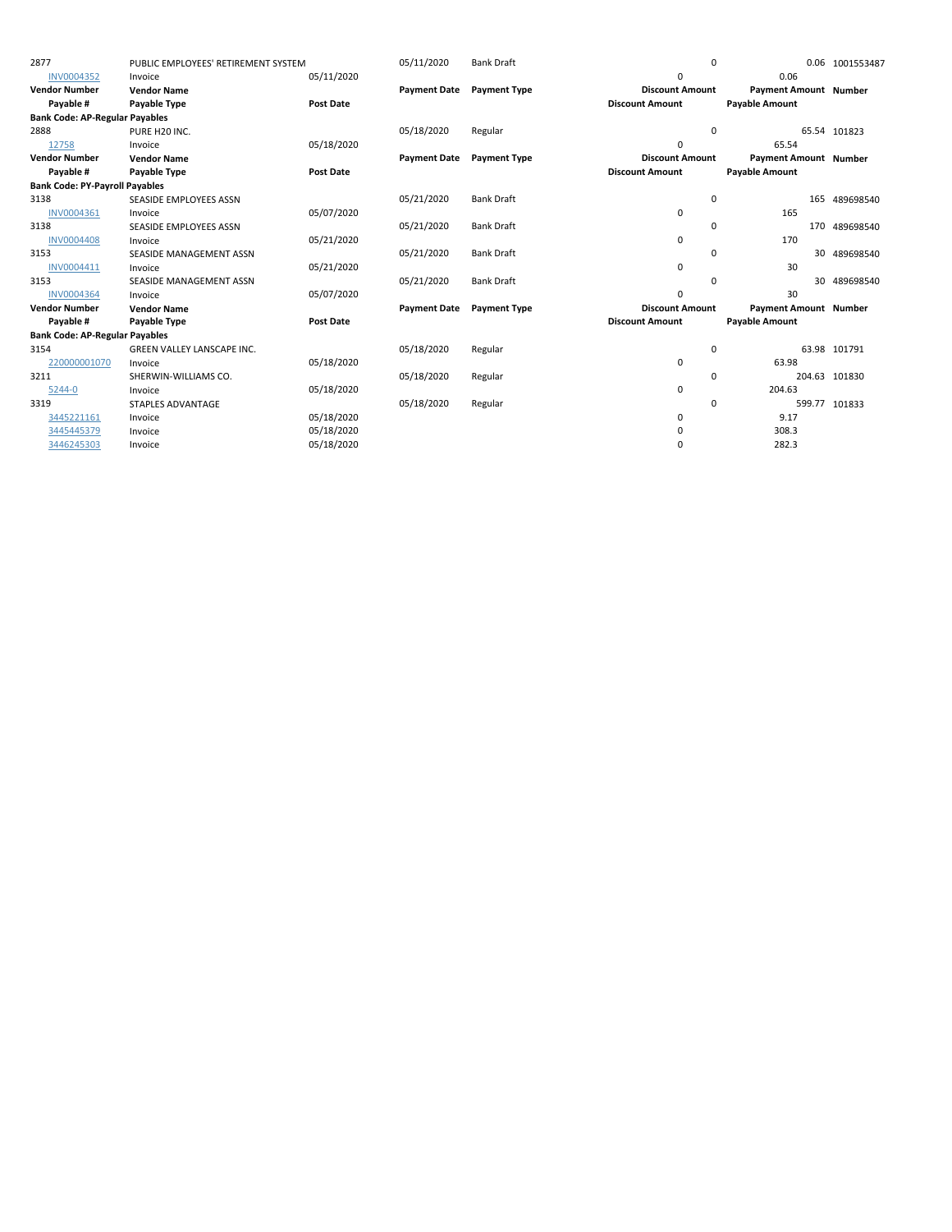| 2877                                  | PUBLIC EMPLOYEES' RETIREMENT SYSTEM |                  | 05/11/2020          | <b>Bank Draft</b>   | 0                      |                              | 0.06 1001553487 |
|---------------------------------------|-------------------------------------|------------------|---------------------|---------------------|------------------------|------------------------------|-----------------|
| INV0004352                            | Invoice                             | 05/11/2020       |                     |                     | 0                      | 0.06                         |                 |
| <b>Vendor Number</b>                  | <b>Vendor Name</b>                  |                  | <b>Payment Date</b> | <b>Payment Type</b> | <b>Discount Amount</b> | <b>Payment Amount Number</b> |                 |
| Payable #                             | Payable Type                        | <b>Post Date</b> |                     |                     | <b>Discount Amount</b> | <b>Payable Amount</b>        |                 |
| <b>Bank Code: AP-Regular Payables</b> |                                     |                  |                     |                     |                        |                              |                 |
| 2888                                  | PURE H20 INC.                       |                  | 05/18/2020          | Regular             | $\mathbf 0$            |                              | 65.54 101823    |
| 12758                                 | Invoice                             | 05/18/2020       |                     |                     | 0                      | 65.54                        |                 |
| <b>Vendor Number</b>                  | <b>Vendor Name</b>                  |                  | <b>Payment Date</b> | <b>Payment Type</b> | <b>Discount Amount</b> | <b>Payment Amount Number</b> |                 |
| Payable #                             | Payable Type                        | <b>Post Date</b> |                     |                     | <b>Discount Amount</b> | <b>Payable Amount</b>        |                 |
| <b>Bank Code: PY-Payroll Payables</b> |                                     |                  |                     |                     |                        |                              |                 |
| 3138                                  | SEASIDE EMPLOYEES ASSN              |                  | 05/21/2020          | <b>Bank Draft</b>   | 0                      | 165                          | 489698540       |
| INV0004361                            | Invoice                             | 05/07/2020       |                     |                     | 0                      | 165                          |                 |
| 3138                                  | SEASIDE EMPLOYEES ASSN              |                  | 05/21/2020          | <b>Bank Draft</b>   | 0                      | 170                          | 489698540       |
| <b>INV0004408</b>                     | Invoice                             | 05/21/2020       |                     |                     | $\mathbf 0$            | 170                          |                 |
| 3153                                  | SEASIDE MANAGEMENT ASSN             |                  | 05/21/2020          | <b>Bank Draft</b>   | 0                      | 30                           | 489698540       |
| INV0004411                            | Invoice                             | 05/21/2020       |                     |                     | $\mathbf 0$            | 30                           |                 |
| 3153                                  | SEASIDE MANAGEMENT ASSN             |                  | 05/21/2020          | <b>Bank Draft</b>   | 0                      |                              | 30 489698540    |
| <b>INV0004364</b>                     | Invoice                             | 05/07/2020       |                     |                     | 0                      | 30                           |                 |
| <b>Vendor Number</b>                  | <b>Vendor Name</b>                  |                  | <b>Payment Date</b> | <b>Payment Type</b> | <b>Discount Amount</b> | Payment Amount Number        |                 |
| Payable #                             | Payable Type                        | <b>Post Date</b> |                     |                     | <b>Discount Amount</b> | <b>Payable Amount</b>        |                 |
| <b>Bank Code: AP-Regular Payables</b> |                                     |                  |                     |                     |                        |                              |                 |
| 3154                                  | GREEN VALLEY LANSCAPE INC.          |                  | 05/18/2020          | Regular             | 0                      |                              | 63.98 101791    |
| 220000001070                          | Invoice                             | 05/18/2020       |                     |                     | $\mathbf 0$            | 63.98                        |                 |
| 3211                                  | SHERWIN-WILLIAMS CO.                |                  | 05/18/2020          | Regular             | 0                      |                              | 204.63 101830   |
| 5244-0                                | Invoice                             | 05/18/2020       |                     |                     | $\mathbf 0$            | 204.63                       |                 |
| 3319                                  | <b>STAPLES ADVANTAGE</b>            |                  | 05/18/2020          | Regular             | 0                      |                              | 599.77 101833   |
| 3445221161                            | Invoice                             | 05/18/2020       |                     |                     | 0                      | 9.17                         |                 |
| 3445445379                            | Invoice                             | 05/18/2020       |                     |                     | 0                      | 308.3                        |                 |
| 3446245303                            | Invoice                             | 05/18/2020       |                     |                     | 0                      | 282.3                        |                 |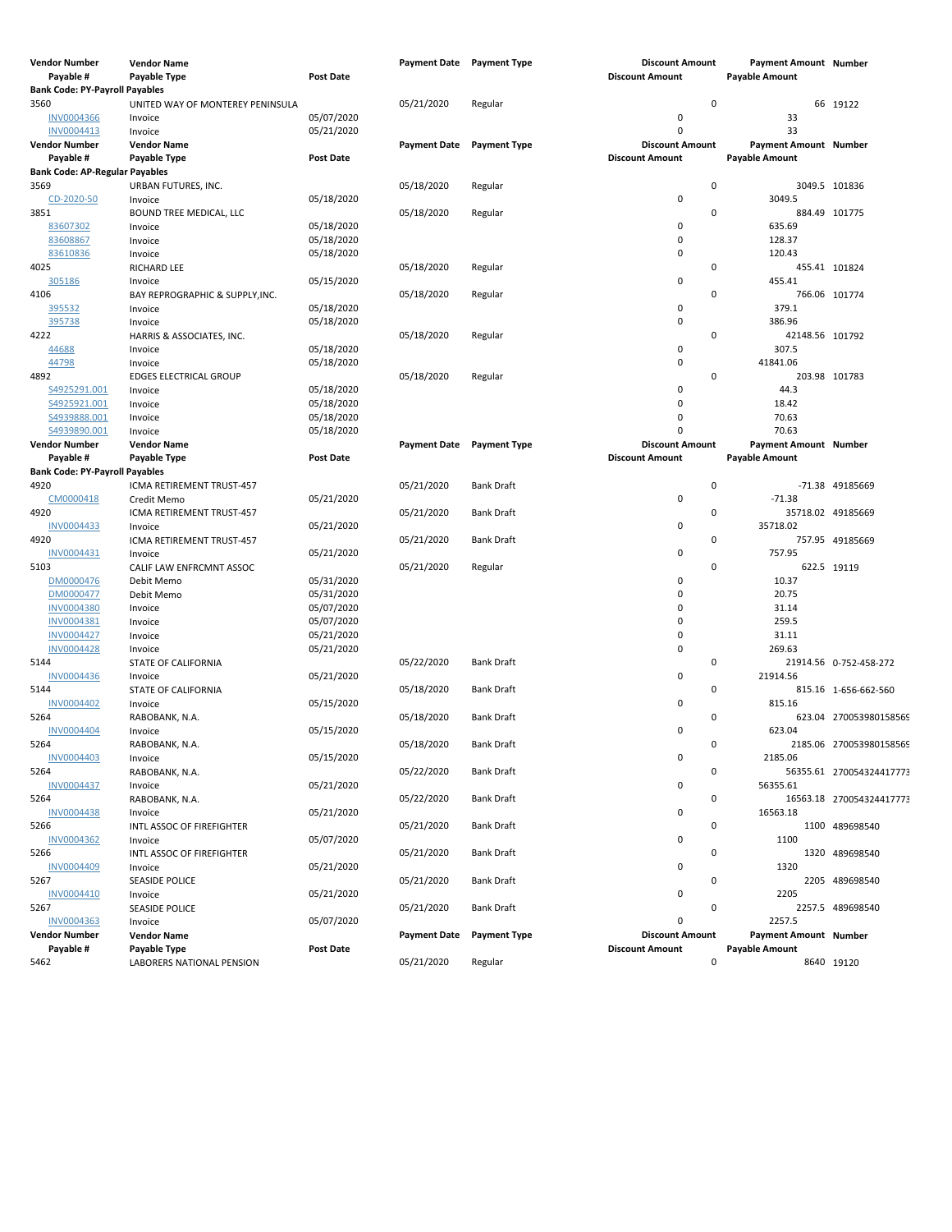| <b>Vendor Number</b>                  | <b>Vendor Name</b>               |                          | <b>Payment Date</b> Payment Type |                     | <b>Discount Amount</b> | <b>Payment Amount Number</b> |                          |
|---------------------------------------|----------------------------------|--------------------------|----------------------------------|---------------------|------------------------|------------------------------|--------------------------|
| Payable #                             | Payable Type                     | <b>Post Date</b>         |                                  |                     | <b>Discount Amount</b> | <b>Payable Amount</b>        |                          |
| <b>Bank Code: PY-Payroll Payables</b> |                                  |                          |                                  |                     |                        |                              |                          |
| 3560                                  | UNITED WAY OF MONTEREY PENINSULA |                          | 05/21/2020                       | Regular             | $\mathbf 0$            |                              | 66 19122                 |
| <b>INV0004366</b>                     | Invoice                          | 05/07/2020               |                                  |                     | $\pmb{0}$              | 33                           |                          |
| INV0004413                            | Invoice                          | 05/21/2020               |                                  |                     | $\Omega$               | 33                           |                          |
| Vendor Number                         | <b>Vendor Name</b>               |                          | <b>Payment Date</b>              | <b>Payment Type</b> | <b>Discount Amount</b> | Payment Amount Number        |                          |
| Payable #                             | Payable Type                     | <b>Post Date</b>         |                                  |                     | <b>Discount Amount</b> | <b>Payable Amount</b>        |                          |
| <b>Bank Code: AP-Regular Payables</b> |                                  |                          |                                  |                     |                        |                              |                          |
| 3569                                  | URBAN FUTURES, INC.              |                          | 05/18/2020                       | Regular             | $\mathbf 0$            |                              | 3049.5 101836            |
| CD-2020-50                            | Invoice                          | 05/18/2020               |                                  |                     | $\pmb{0}$              | 3049.5                       |                          |
| 3851                                  | BOUND TREE MEDICAL, LLC          |                          | 05/18/2020                       | Regular             | 0                      |                              | 884.49 101775            |
| 83607302                              | Invoice                          | 05/18/2020               |                                  |                     | $\pmb{0}$              | 635.69                       |                          |
| 83608867                              | Invoice                          | 05/18/2020               |                                  |                     | 0                      | 128.37                       |                          |
| 83610836                              | Invoice                          | 05/18/2020               |                                  |                     | 0                      | 120.43                       |                          |
| 4025                                  | RICHARD LEE                      |                          | 05/18/2020                       | Regular             | 0<br>0                 |                              | 455.41 101824            |
| 305186                                | Invoice                          | 05/15/2020               |                                  |                     | 0                      | 455.41                       |                          |
| 4106<br>395532                        | BAY REPROGRAPHIC & SUPPLY, INC.  | 05/18/2020               | 05/18/2020                       | Regular             | 0                      | 379.1                        | 766.06 101774            |
| 395738                                | Invoice<br>Invoice               | 05/18/2020               |                                  |                     | 0                      | 386.96                       |                          |
| 4222                                  | HARRIS & ASSOCIATES, INC.        |                          | 05/18/2020                       | Regular             | 0                      | 42148.56 101792              |                          |
| 44688                                 | Invoice                          | 05/18/2020               |                                  |                     | 0                      | 307.5                        |                          |
| 44798                                 | Invoice                          | 05/18/2020               |                                  |                     | $\mathbf 0$            | 41841.06                     |                          |
| 4892                                  | <b>EDGES ELECTRICAL GROUP</b>    |                          | 05/18/2020                       | Regular             | 0                      |                              | 203.98 101783            |
| S4925291.001                          | Invoice                          | 05/18/2020               |                                  |                     | 0                      | 44.3                         |                          |
| S4925921.001                          | Invoice                          | 05/18/2020               |                                  |                     | 0                      | 18.42                        |                          |
| S4939888.001                          | Invoice                          | 05/18/2020               |                                  |                     | $\Omega$               | 70.63                        |                          |
| S4939890.001                          | Invoice                          | 05/18/2020               |                                  |                     | $\Omega$               | 70.63                        |                          |
| <b>Vendor Number</b>                  | <b>Vendor Name</b>               |                          | Payment Date Payment Type        |                     | <b>Discount Amount</b> | Payment Amount Number        |                          |
| Payable #                             | Payable Type                     | <b>Post Date</b>         |                                  |                     | <b>Discount Amount</b> | <b>Payable Amount</b>        |                          |
| <b>Bank Code: PY-Payroll Payables</b> |                                  |                          |                                  |                     |                        |                              |                          |
| 4920                                  | ICMA RETIREMENT TRUST-457        |                          | 05/21/2020                       | Bank Draft          | $\pmb{0}$              |                              | -71.38 49185669          |
| CM0000418                             | Credit Memo                      | 05/21/2020               |                                  |                     | $\pmb{0}$              | $-71.38$                     |                          |
| 4920                                  | ICMA RETIREMENT TRUST-457        |                          | 05/21/2020                       | <b>Bank Draft</b>   | 0                      |                              | 35718.02 49185669        |
| INV0004433                            | Invoice                          | 05/21/2020               |                                  |                     | 0                      | 35718.02                     |                          |
| 4920                                  | ICMA RETIREMENT TRUST-457        |                          | 05/21/2020                       | Bank Draft          | $\mathbf 0$            |                              | 757.95 49185669          |
| INV0004431                            | Invoice                          | 05/21/2020               |                                  |                     | 0                      | 757.95                       |                          |
| 5103                                  | CALIF LAW ENFRCMNT ASSOC         |                          | 05/21/2020                       | Regular             | 0                      |                              | 622.5 19119              |
| DM0000476                             | Debit Memo                       | 05/31/2020               |                                  |                     | 0<br>$\Omega$          | 10.37<br>20.75               |                          |
| DM0000477<br><b>INV0004380</b>        | Debit Memo                       | 05/31/2020<br>05/07/2020 |                                  |                     | $\Omega$               | 31.14                        |                          |
| INV0004381                            | Invoice<br>Invoice               | 05/07/2020               |                                  |                     | 0                      | 259.5                        |                          |
| INV0004427                            | Invoice                          | 05/21/2020               |                                  |                     | 0                      | 31.11                        |                          |
| <b>INV0004428</b>                     | Invoice                          | 05/21/2020               |                                  |                     | 0                      | 269.63                       |                          |
| 5144                                  | STATE OF CALIFORNIA              |                          | 05/22/2020                       | <b>Bank Draft</b>   | 0                      |                              | 21914.56 0-752-458-272   |
| INV0004436                            | Invoice                          | 05/21/2020               |                                  |                     | 0                      | 21914.56                     |                          |
| 5144                                  | STATE OF CALIFORNIA              |                          | 05/18/2020                       | <b>Bank Draft</b>   | 0                      |                              | 815.16 1-656-662-560     |
| INV0004402                            | Invoice                          | 05/15/2020               |                                  |                     | 0                      | 815.16                       |                          |
| 5264                                  | RABOBANK, N.A.                   |                          | 05/18/2020                       | <b>Bank Draft</b>   | $\mathbf 0$            |                              | 623.04 270053980158569   |
| <b>INV0004404</b>                     | Invoice                          | 05/15/2020               |                                  |                     | $\mathbf 0$            | 623.04                       |                          |
| 5264                                  | RABOBANK, N.A.                   |                          | 05/18/2020                       | <b>Bank Draft</b>   | $\mathbf 0$            |                              | 2185.06 270053980158569  |
| INV0004403                            | Invoice                          | 05/15/2020               |                                  |                     | $\pmb{0}$              | 2185.06                      |                          |
| 5264                                  | RABOBANK, N.A.                   |                          | 05/22/2020                       | <b>Bank Draft</b>   | $\mathsf 0$            |                              | 56355.61 270054324417773 |
| INV0004437                            | Invoice                          | 05/21/2020               |                                  |                     | 0                      | 56355.61                     |                          |
| 5264                                  | RABOBANK, N.A.                   |                          | 05/22/2020                       | <b>Bank Draft</b>   | $\mathbf 0$            |                              | 16563.18 270054324417773 |
| <b>INV0004438</b>                     | Invoice                          | 05/21/2020               |                                  |                     | 0                      | 16563.18                     |                          |
| 5266                                  | INTL ASSOC OF FIREFIGHTER        |                          | 05/21/2020                       | <b>Bank Draft</b>   | $\mathbf 0$            |                              | 1100 489698540           |
| INV0004362                            | Invoice                          | 05/07/2020               |                                  |                     | 0                      | 1100                         |                          |
| 5266                                  | INTL ASSOC OF FIREFIGHTER        |                          | 05/21/2020                       | <b>Bank Draft</b>   | $\mathbf 0$            |                              | 1320 489698540           |
| INV0004409                            | Invoice                          | 05/21/2020               |                                  |                     | 0                      | 1320                         |                          |
| 5267                                  | SEASIDE POLICE                   |                          | 05/21/2020                       | <b>Bank Draft</b>   | $\mathbf 0$            |                              | 2205 489698540           |
| INV0004410<br>5267                    | Invoice                          | 05/21/2020               | 05/21/2020                       | <b>Bank Draft</b>   | 0<br>$\mathbf 0$       | 2205                         | 2257.5 489698540         |
| INV0004363                            | <b>SEASIDE POLICE</b><br>Invoice | 05/07/2020               |                                  |                     | 0                      | 2257.5                       |                          |
| <b>Vendor Number</b>                  | <b>Vendor Name</b>               |                          | <b>Payment Date</b>              | <b>Payment Type</b> | <b>Discount Amount</b> | <b>Payment Amount Number</b> |                          |
| Payable #                             | Payable Type                     | <b>Post Date</b>         |                                  |                     | <b>Discount Amount</b> | <b>Pavable Amount</b>        |                          |
| 5462                                  | LABORERS NATIONAL PENSION        |                          | 05/21/2020                       | Regular             | $\mathbf 0$            |                              | 8640 19120               |
|                                       |                                  |                          |                                  |                     |                        |                              |                          |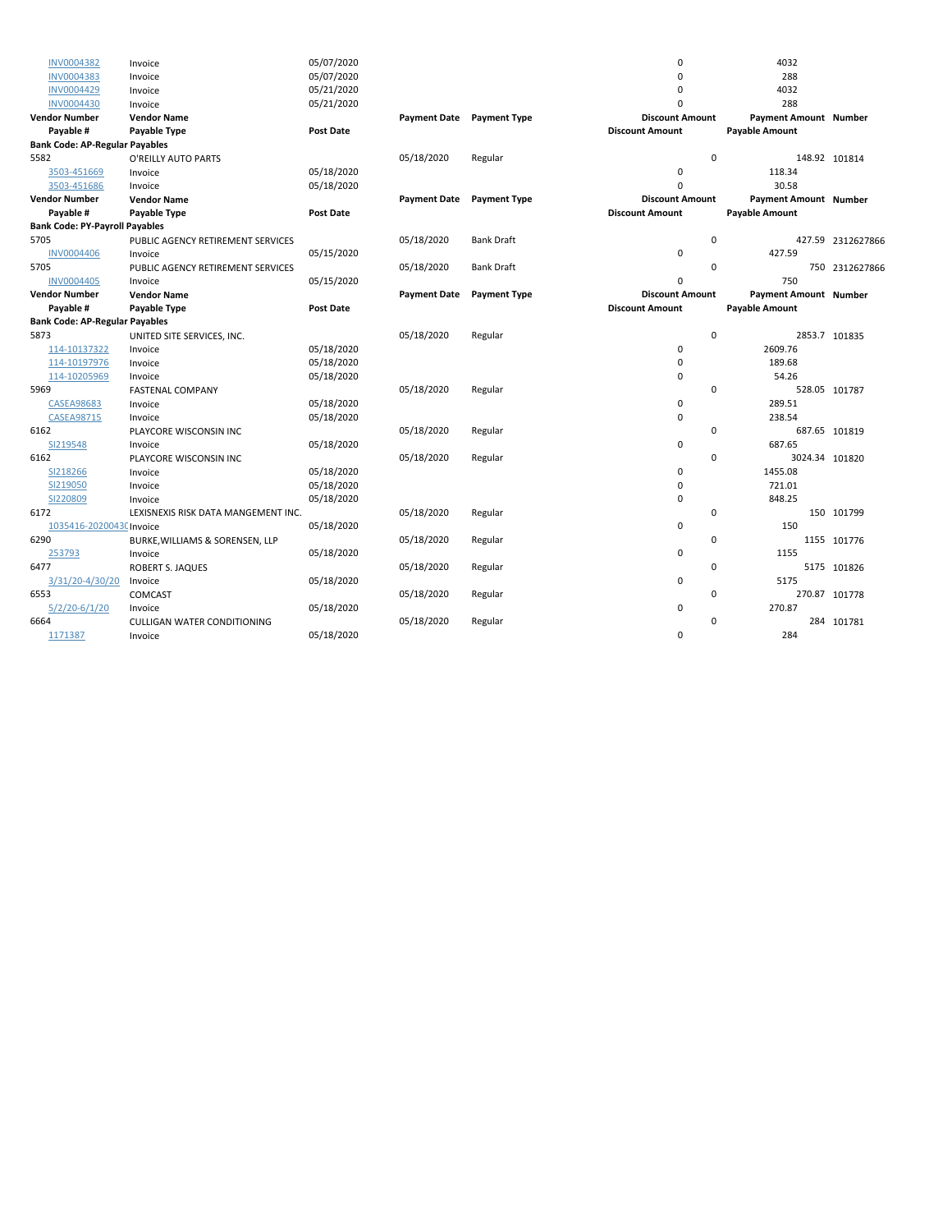| INV0004382                            | Invoice                             | 05/07/2020       |                     |                     | $\mathbf 0$            | 4032                         |                   |
|---------------------------------------|-------------------------------------|------------------|---------------------|---------------------|------------------------|------------------------------|-------------------|
| <b>INV0004383</b>                     | Invoice                             | 05/07/2020       |                     |                     | $\Omega$               | 288                          |                   |
| <b>INV0004429</b>                     | Invoice                             | 05/21/2020       |                     |                     | 0                      | 4032                         |                   |
| <b>INV0004430</b>                     | Invoice                             | 05/21/2020       |                     |                     | $\Omega$               | 288                          |                   |
| <b>Vendor Number</b>                  | <b>Vendor Name</b>                  |                  | <b>Payment Date</b> | <b>Payment Type</b> | <b>Discount Amount</b> | Payment Amount Number        |                   |
| Payable #                             | Payable Type                        | <b>Post Date</b> |                     |                     | <b>Discount Amount</b> | <b>Payable Amount</b>        |                   |
| <b>Bank Code: AP-Regular Payables</b> |                                     |                  |                     |                     |                        |                              |                   |
| 5582                                  | O'REILLY AUTO PARTS                 |                  | 05/18/2020          | Regular             | $\Omega$               |                              | 148.92 101814     |
| 3503-451669                           | Invoice                             | 05/18/2020       |                     |                     | $\pmb{0}$              | 118.34                       |                   |
| 3503-451686                           | Invoice                             | 05/18/2020       |                     |                     | $\Omega$               | 30.58                        |                   |
| <b>Vendor Number</b>                  | <b>Vendor Name</b>                  |                  | <b>Payment Date</b> | <b>Payment Type</b> | <b>Discount Amount</b> | <b>Payment Amount Number</b> |                   |
| Payable #                             | Payable Type                        | <b>Post Date</b> |                     |                     | <b>Discount Amount</b> | <b>Payable Amount</b>        |                   |
| <b>Bank Code: PY-Payroll Payables</b> |                                     |                  |                     |                     |                        |                              |                   |
| 5705                                  | PUBLIC AGENCY RETIREMENT SERVICES   |                  | 05/18/2020          | <b>Bank Draft</b>   | $\mathbf 0$            |                              | 427.59 2312627866 |
| <b>INV0004406</b>                     | Invoice                             | 05/15/2020       |                     |                     | 0                      | 427.59                       |                   |
| 5705                                  | PUBLIC AGENCY RETIREMENT SERVICES   |                  | 05/18/2020          | <b>Bank Draft</b>   | $\mathbf 0$            |                              | 750 2312627866    |
| <b>INV0004405</b>                     | Invoice                             | 05/15/2020       |                     |                     | 0                      | 750                          |                   |
| <b>Vendor Number</b>                  | <b>Vendor Name</b>                  |                  | <b>Payment Date</b> | <b>Payment Type</b> | <b>Discount Amount</b> | <b>Payment Amount Number</b> |                   |
| Payable #                             | Payable Type                        | <b>Post Date</b> |                     |                     | <b>Discount Amount</b> | <b>Payable Amount</b>        |                   |
| <b>Bank Code: AP-Regular Payables</b> |                                     |                  |                     |                     |                        |                              |                   |
| 5873                                  | UNITED SITE SERVICES, INC.          |                  | 05/18/2020          | Regular             | $\mathbf 0$            |                              | 2853.7 101835     |
| 114-10137322                          | Invoice                             | 05/18/2020       |                     |                     | $\mathbf 0$            | 2609.76                      |                   |
| 114-10197976                          | Invoice                             | 05/18/2020       |                     |                     | $\pmb{0}$              | 189.68                       |                   |
| 114-10205969                          | Invoice                             | 05/18/2020       |                     |                     | $\mathbf 0$            | 54.26                        |                   |
| 5969                                  | <b>FASTENAL COMPANY</b>             |                  | 05/18/2020          | Regular             | $\mathbf 0$            |                              | 528.05 101787     |
| <b>CASEA98683</b>                     | Invoice                             | 05/18/2020       |                     |                     | $\mathbf 0$            | 289.51                       |                   |
| <b>CASEA98715</b>                     | Invoice                             | 05/18/2020       |                     |                     | $\mathbf 0$            | 238.54                       |                   |
| 6162                                  | PLAYCORE WISCONSIN INC              |                  | 05/18/2020          | Regular             | 0                      |                              | 687.65 101819     |
| SI219548                              | Invoice                             | 05/18/2020       |                     |                     | $\mathbf 0$            | 687.65                       |                   |
| 6162                                  | PLAYCORE WISCONSIN INC              |                  | 05/18/2020          | Regular             | $\mathbf 0$            | 3024.34 101820               |                   |
| SI218266                              | Invoice                             | 05/18/2020       |                     |                     | $\mathbf 0$            | 1455.08                      |                   |
| SI219050                              | Invoice                             | 05/18/2020       |                     |                     | $\mathbf 0$            | 721.01                       |                   |
| SI220809                              | Invoice                             | 05/18/2020       |                     |                     | $\mathbf 0$            | 848.25                       |                   |
| 6172                                  | LEXISNEXIS RISK DATA MANGEMENT INC. |                  | 05/18/2020          | Regular             | 0                      |                              | 150 101799        |
| 1035416-20200430 Invoice              |                                     | 05/18/2020       |                     |                     | 0                      | 150                          |                   |
| 6290                                  | BURKE, WILLIAMS & SORENSEN, LLP     |                  | 05/18/2020          | Regular             | 0                      |                              | 1155 101776       |
| 253793                                | Invoice                             | 05/18/2020       |                     |                     | $\mathbf 0$            | 1155                         |                   |
| 6477                                  | ROBERT S. JAQUES                    |                  | 05/18/2020          | Regular             | 0                      |                              | 5175 101826       |
| 3/31/20-4/30/20                       | Invoice                             | 05/18/2020       |                     |                     | 0                      | 5175                         |                   |
| 6553                                  | COMCAST                             |                  | 05/18/2020          | Regular             | 0                      |                              | 270.87 101778     |
| $5/2/20 - 6/1/20$                     | Invoice                             | 05/18/2020       |                     |                     | $\mathbf 0$            | 270.87                       |                   |
| 6664                                  | CULLIGAN WATER CONDITIONING         |                  | 05/18/2020          | Regular             | 0                      |                              | 284 101781        |
| 1171387                               | Invoice                             | 05/18/2020       |                     |                     | $\mathbf 0$            | 284                          |                   |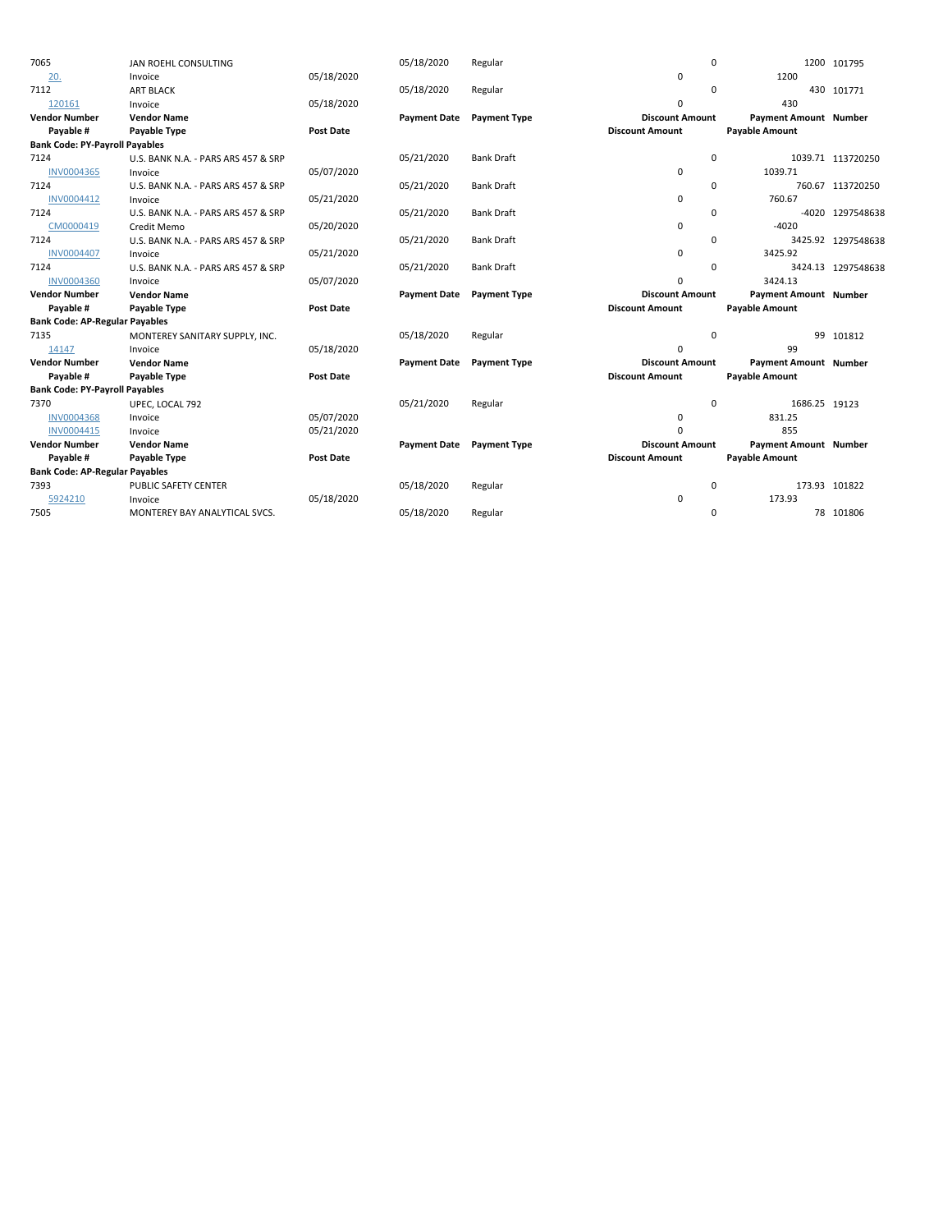| 7065                                  | JAN ROEHL CONSULTING                |                  | 05/18/2020          | Regular             |                        | $\mathbf 0$ |                              | 1200 101795        |
|---------------------------------------|-------------------------------------|------------------|---------------------|---------------------|------------------------|-------------|------------------------------|--------------------|
| 20.                                   | Invoice                             | 05/18/2020       |                     |                     | $\mathbf 0$            |             | 1200                         |                    |
| 7112                                  | <b>ART BLACK</b>                    |                  | 05/18/2020          | Regular             |                        | $\mathbf 0$ |                              | 430 101771         |
| 120161                                | Invoice                             | 05/18/2020       |                     |                     | 0                      |             | 430                          |                    |
| <b>Vendor Number</b>                  | <b>Vendor Name</b>                  |                  | <b>Payment Date</b> | <b>Payment Type</b> | <b>Discount Amount</b> |             | Payment Amount Number        |                    |
| Payable #                             | Payable Type                        | <b>Post Date</b> |                     |                     | <b>Discount Amount</b> |             | <b>Payable Amount</b>        |                    |
| <b>Bank Code: PY-Payroll Payables</b> |                                     |                  |                     |                     |                        |             |                              |                    |
| 7124                                  | U.S. BANK N.A. - PARS ARS 457 & SRP |                  | 05/21/2020          | <b>Bank Draft</b>   |                        | $\Omega$    |                              | 1039.71 113720250  |
| INV0004365                            | Invoice                             | 05/07/2020       |                     |                     | $\pmb{0}$              |             | 1039.71                      |                    |
| 7124                                  | U.S. BANK N.A. - PARS ARS 457 & SRP |                  | 05/21/2020          | <b>Bank Draft</b>   |                        | 0           |                              | 760.67 113720250   |
| INV0004412                            | Invoice                             | 05/21/2020       |                     |                     | 0                      |             | 760.67                       |                    |
| 7124                                  | U.S. BANK N.A. - PARS ARS 457 & SRP |                  | 05/21/2020          | <b>Bank Draft</b>   |                        | 0           |                              | -4020 1297548638   |
| CM0000419                             | Credit Memo                         | 05/20/2020       |                     |                     | $\mathbf 0$            |             | $-4020$                      |                    |
| 7124                                  | U.S. BANK N.A. - PARS ARS 457 & SRP |                  | 05/21/2020          | <b>Bank Draft</b>   |                        | 0           |                              | 3425.92 1297548638 |
| <b>INV0004407</b>                     | Invoice                             | 05/21/2020       |                     |                     | $\mathbf 0$            |             | 3425.92                      |                    |
| 7124                                  | U.S. BANK N.A. - PARS ARS 457 & SRP |                  | 05/21/2020          | <b>Bank Draft</b>   |                        | 0           |                              | 3424.13 1297548638 |
| <b>INV0004360</b>                     | Invoice                             | 05/07/2020       |                     |                     | 0                      |             | 3424.13                      |                    |
|                                       |                                     |                  |                     |                     |                        |             |                              |                    |
| <b>Vendor Number</b>                  | <b>Vendor Name</b>                  |                  | <b>Payment Date</b> | <b>Payment Type</b> | <b>Discount Amount</b> |             | <b>Payment Amount Number</b> |                    |
| Payable #                             | Payable Type                        | <b>Post Date</b> |                     |                     | <b>Discount Amount</b> |             | <b>Payable Amount</b>        |                    |
| <b>Bank Code: AP-Regular Payables</b> |                                     |                  |                     |                     |                        |             |                              |                    |
| 7135                                  | MONTEREY SANITARY SUPPLY, INC.      |                  | 05/18/2020          | Regular             |                        | $\mathbf 0$ |                              | 99 101812          |
| 14147                                 | Invoice                             | 05/18/2020       |                     |                     | $\mathbf 0$            |             | 99                           |                    |
| <b>Vendor Number</b>                  | <b>Vendor Name</b>                  |                  | <b>Payment Date</b> | <b>Payment Type</b> | <b>Discount Amount</b> |             | Payment Amount Number        |                    |
| Payable #                             | Payable Type                        | <b>Post Date</b> |                     |                     | <b>Discount Amount</b> |             | <b>Payable Amount</b>        |                    |
| <b>Bank Code: PY-Payroll Payables</b> |                                     |                  |                     |                     |                        |             |                              |                    |
| 7370                                  | UPEC, LOCAL 792                     |                  | 05/21/2020          | Regular             |                        | $\mathbf 0$ | 1686.25 19123                |                    |
| <b>INV0004368</b>                     | Invoice                             | 05/07/2020       |                     |                     | 0                      |             | 831.25                       |                    |
| INV0004415                            | Invoice                             | 05/21/2020       |                     |                     | $\Omega$               |             | 855                          |                    |
| <b>Vendor Number</b>                  | <b>Vendor Name</b>                  |                  | <b>Payment Date</b> | <b>Payment Type</b> | <b>Discount Amount</b> |             | <b>Payment Amount Number</b> |                    |
| Payable #                             | Payable Type                        | <b>Post Date</b> |                     |                     | <b>Discount Amount</b> |             | <b>Payable Amount</b>        |                    |
| <b>Bank Code: AP-Regular Payables</b> |                                     |                  |                     |                     |                        |             |                              |                    |
| 7393                                  | PUBLIC SAFETY CENTER                |                  | 05/18/2020          | Regular             |                        | 0           | 173.93 101822                |                    |
| 5924210                               | Invoice                             | 05/18/2020       |                     |                     | 0                      |             | 173.93                       |                    |
| 7505                                  | MONTEREY BAY ANALYTICAL SVCS.       |                  | 05/18/2020          | Regular             |                        | 0           |                              | 78 101806          |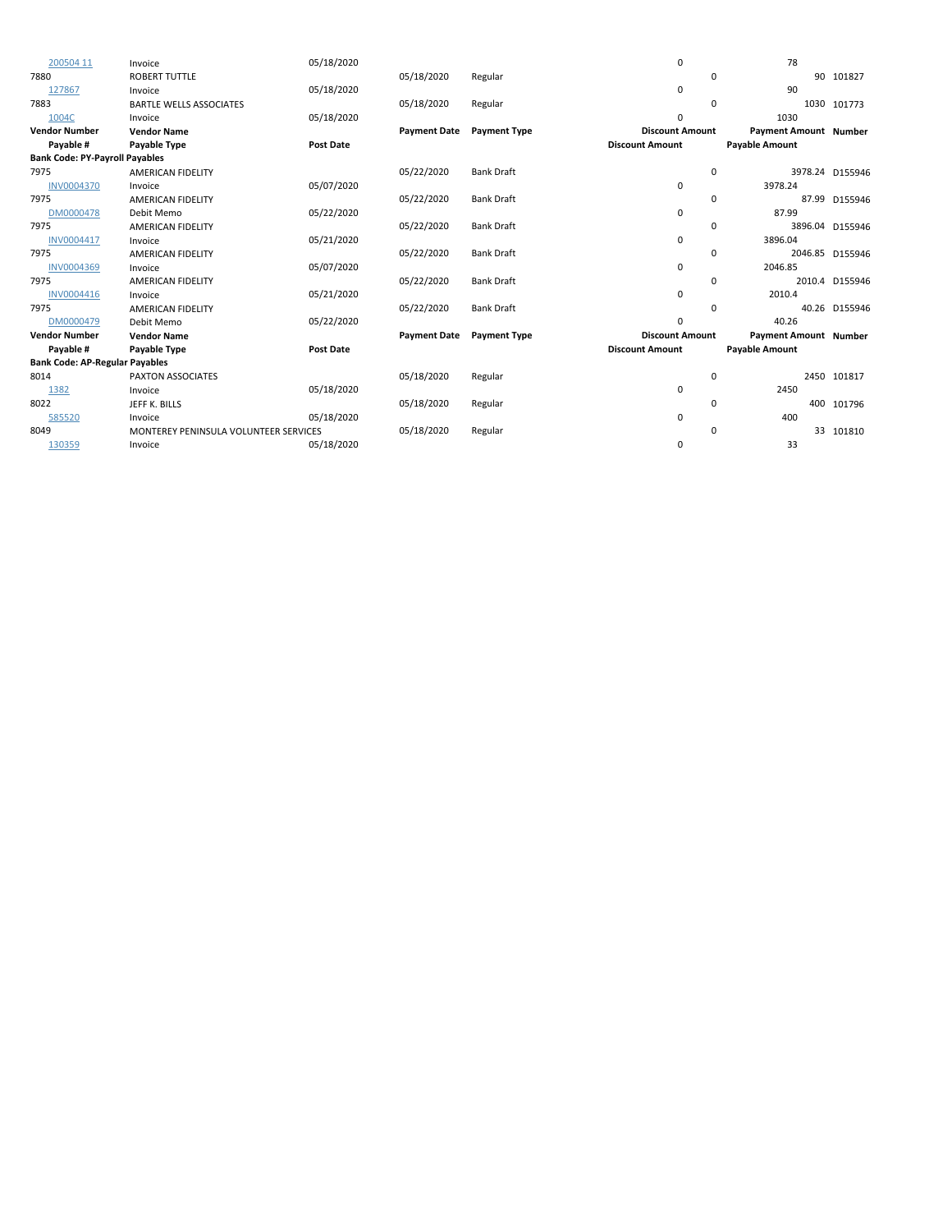| 200504 11                             | Invoice                               | 05/18/2020       |                     |                     | $\mathbf 0$            | 78                           |                 |
|---------------------------------------|---------------------------------------|------------------|---------------------|---------------------|------------------------|------------------------------|-----------------|
| 7880                                  | <b>ROBERT TUTTLE</b>                  |                  | 05/18/2020          | Regular             | 0                      |                              | 90 101827       |
| 127867                                | Invoice                               | 05/18/2020       |                     |                     | 0                      | 90                           |                 |
| 7883                                  | <b>BARTLE WELLS ASSOCIATES</b>        |                  | 05/18/2020          | Regular             | $\Omega$               |                              | 1030 101773     |
| 1004C                                 | Invoice                               | 05/18/2020       |                     |                     | 0                      | 1030                         |                 |
| <b>Vendor Number</b>                  | <b>Vendor Name</b>                    |                  | <b>Payment Date</b> | Payment Type        | <b>Discount Amount</b> | Payment Amount Number        |                 |
| Payable #                             | Payable Type                          | <b>Post Date</b> |                     |                     | <b>Discount Amount</b> | <b>Payable Amount</b>        |                 |
| <b>Bank Code: PY-Payroll Payables</b> |                                       |                  |                     |                     |                        |                              |                 |
| 7975                                  | <b>AMERICAN FIDELITY</b>              |                  | 05/22/2020          | <b>Bank Draft</b>   | 0                      |                              | 3978.24 D155946 |
| <b>INV0004370</b>                     | Invoice                               | 05/07/2020       |                     |                     | $\mathbf 0$            | 3978.24                      |                 |
| 7975                                  | <b>AMERICAN FIDELITY</b>              |                  | 05/22/2020          | <b>Bank Draft</b>   | 0                      |                              | 87.99 D155946   |
| DM0000478                             | Debit Memo                            | 05/22/2020       |                     |                     | $\mathbf 0$            | 87.99                        |                 |
| 7975                                  | <b>AMERICAN FIDELITY</b>              |                  | 05/22/2020          | <b>Bank Draft</b>   | $\Omega$               |                              | 3896.04 D155946 |
| INV0004417                            | Invoice                               | 05/21/2020       |                     |                     | 0                      | 3896.04                      |                 |
| 7975                                  | <b>AMERICAN FIDELITY</b>              |                  | 05/22/2020          | <b>Bank Draft</b>   | 0                      |                              | 2046.85 D155946 |
| INV0004369                            | Invoice                               | 05/07/2020       |                     |                     | 0                      | 2046.85                      |                 |
| 7975                                  | <b>AMERICAN FIDELITY</b>              |                  | 05/22/2020          | <b>Bank Draft</b>   | 0                      |                              | 2010.4 D155946  |
| INV0004416                            | Invoice                               | 05/21/2020       |                     |                     | 0                      | 2010.4                       |                 |
| 7975                                  | <b>AMERICAN FIDELITY</b>              |                  | 05/22/2020          | <b>Bank Draft</b>   | 0                      |                              | 40.26 D155946   |
| DM0000479                             | Debit Memo                            | 05/22/2020       |                     |                     | 0                      | 40.26                        |                 |
| <b>Vendor Number</b>                  | <b>Vendor Name</b>                    |                  | <b>Payment Date</b> | <b>Payment Type</b> | <b>Discount Amount</b> | <b>Payment Amount Number</b> |                 |
| Payable #                             | Payable Type                          | <b>Post Date</b> |                     |                     | <b>Discount Amount</b> | <b>Payable Amount</b>        |                 |
| <b>Bank Code: AP-Regular Payables</b> |                                       |                  |                     |                     |                        |                              |                 |
| 8014                                  | <b>PAXTON ASSOCIATES</b>              |                  | 05/18/2020          | Regular             | 0                      |                              | 2450 101817     |
| 1382                                  | Invoice                               | 05/18/2020       |                     |                     | 0                      | 2450                         |                 |
| 8022                                  | JEFF K. BILLS                         |                  | 05/18/2020          | Regular             | 0                      |                              | 400 101796      |
| 585520                                | Invoice                               | 05/18/2020       |                     |                     | 0                      | 400                          |                 |
| 8049                                  | MONTEREY PENINSULA VOLUNTEER SERVICES |                  | 05/18/2020          | Regular             | 0                      | 33                           | 101810          |
| 130359                                | Invoice                               | 05/18/2020       |                     |                     | 0                      | 33                           |                 |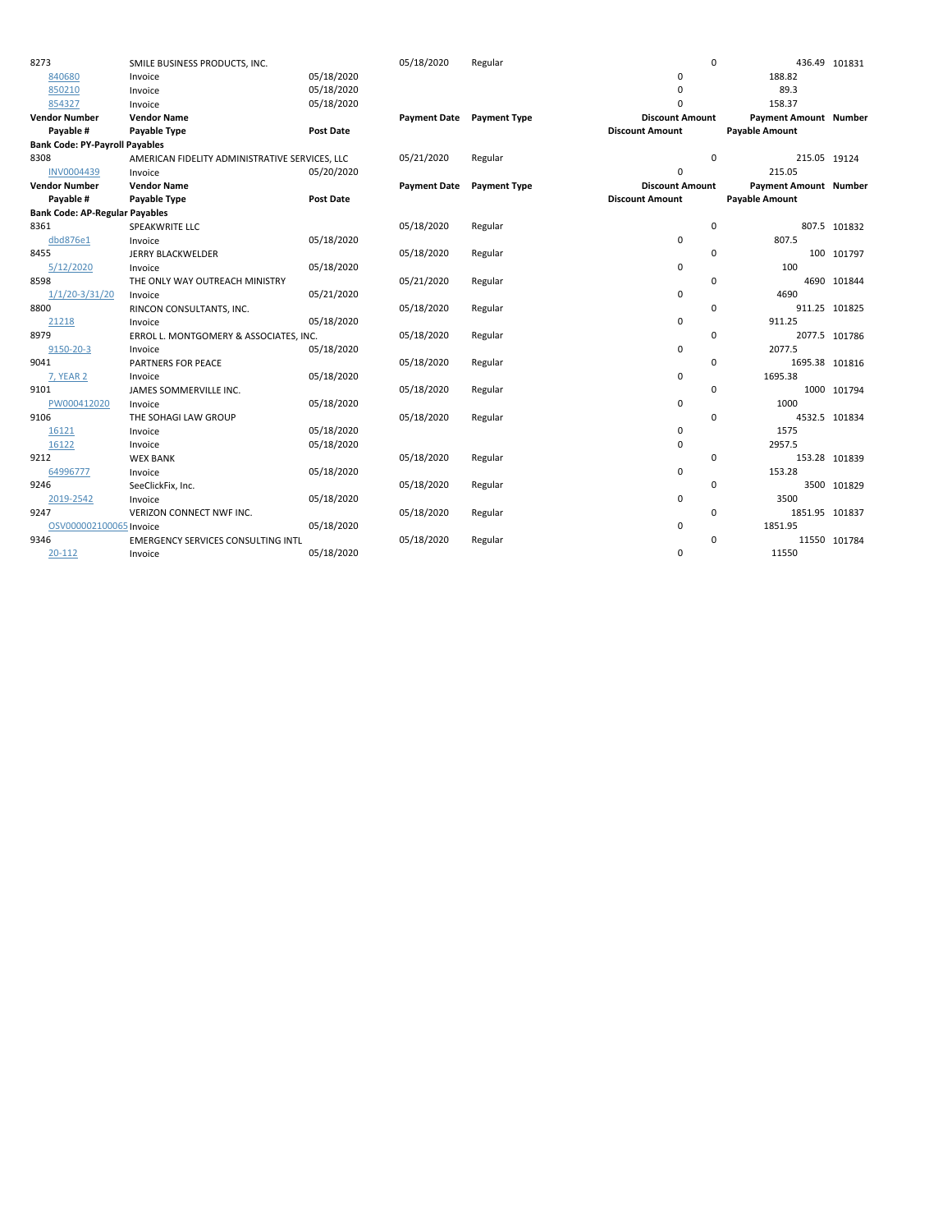| 8273                                  | SMILE BUSINESS PRODUCTS, INC.                  |                  | 05/18/2020          | Regular                   | $\mathbf 0$            |                              | 436.49 101831  |
|---------------------------------------|------------------------------------------------|------------------|---------------------|---------------------------|------------------------|------------------------------|----------------|
| 840680                                | Invoice                                        | 05/18/2020       |                     |                           | $\mathbf 0$            | 188.82                       |                |
| 850210                                | Invoice                                        | 05/18/2020       |                     |                           | $\mathbf 0$            | 89.3                         |                |
| 854327                                | Invoice                                        | 05/18/2020       |                     |                           | $\Omega$               | 158.37                       |                |
| <b>Vendor Number</b>                  | <b>Vendor Name</b>                             |                  |                     | Payment Date Payment Type | <b>Discount Amount</b> | <b>Payment Amount Number</b> |                |
| Payable #                             | Payable Type                                   | <b>Post Date</b> |                     |                           | <b>Discount Amount</b> | <b>Payable Amount</b>        |                |
| <b>Bank Code: PY-Payroll Payables</b> |                                                |                  |                     |                           |                        |                              |                |
| 8308                                  | AMERICAN FIDELITY ADMINISTRATIVE SERVICES, LLC |                  | 05/21/2020          | Regular                   | $\mathbf 0$            | 215.05 19124                 |                |
| INV0004439                            | Invoice                                        | 05/20/2020       |                     |                           | $\mathbf 0$            | 215.05                       |                |
| <b>Vendor Number</b>                  | <b>Vendor Name</b>                             |                  | <b>Payment Date</b> | <b>Payment Type</b>       | <b>Discount Amount</b> | <b>Payment Amount Number</b> |                |
| Payable #                             | Payable Type                                   | <b>Post Date</b> |                     |                           | <b>Discount Amount</b> | <b>Payable Amount</b>        |                |
| <b>Bank Code: AP-Regular Payables</b> |                                                |                  |                     |                           |                        |                              |                |
| 8361                                  | SPEAKWRITE LLC                                 |                  | 05/18/2020          | Regular                   | $\mathbf 0$            |                              | 807.5 101832   |
| dbd876e1                              | Invoice                                        | 05/18/2020       |                     |                           | 0                      | 807.5                        |                |
| 8455                                  | <b>JERRY BLACKWELDER</b>                       |                  | 05/18/2020          | Regular                   | $\mathbf 0$            |                              | 100 101797     |
| 5/12/2020                             | Invoice                                        | 05/18/2020       |                     |                           | 0                      | 100                          |                |
| 8598                                  | THE ONLY WAY OUTREACH MINISTRY                 |                  | 05/21/2020          | Regular                   | $\mathbf 0$            |                              | 4690 101844    |
| $1/1/20 - 3/31/20$                    | Invoice                                        | 05/21/2020       |                     |                           | $\mathbf 0$            | 4690                         |                |
| 8800                                  | RINCON CONSULTANTS, INC.                       |                  | 05/18/2020          | Regular                   | $\mathbf 0$            |                              | 911.25 101825  |
| 21218                                 | Invoice                                        | 05/18/2020       |                     |                           | 0                      | 911.25                       |                |
| 8979                                  | ERROL L. MONTGOMERY & ASSOCIATES, INC.         |                  | 05/18/2020          | Regular                   | $\mathbf 0$            |                              | 2077.5 101786  |
| 9150-20-3                             | Invoice                                        | 05/18/2020       |                     |                           | $\mathbf 0$            | 2077.5                       |                |
| 9041                                  | PARTNERS FOR PEACE                             |                  | 05/18/2020          | Regular                   | $\mathbf 0$            |                              | 1695.38 101816 |
| <b>7, YEAR 2</b>                      | Invoice                                        | 05/18/2020       |                     |                           | $\mathbf 0$            | 1695.38                      |                |
| 9101                                  | JAMES SOMMERVILLE INC.                         |                  | 05/18/2020          | Regular                   | $\mathbf 0$            |                              | 1000 101794    |
| PW000412020                           | Invoice                                        | 05/18/2020       |                     |                           | $\pmb{0}$              | 1000                         |                |
| 9106                                  | THE SOHAGI LAW GROUP                           |                  | 05/18/2020          | Regular                   | $\Omega$               |                              | 4532.5 101834  |
| 16121                                 | Invoice                                        | 05/18/2020       |                     |                           | 0                      | 1575                         |                |
| 16122                                 | Invoice                                        | 05/18/2020       |                     |                           | $\mathbf 0$            | 2957.5                       |                |
| 9212                                  | <b>WEX BANK</b>                                |                  | 05/18/2020          | Regular                   | $\mathbf 0$            |                              | 153.28 101839  |
| 64996777                              | Invoice                                        | 05/18/2020       |                     |                           | $\pmb{0}$              | 153.28                       |                |
| 9246                                  | SeeClickFix, Inc.                              |                  | 05/18/2020          | Regular                   | $\mathbf 0$            |                              | 3500 101829    |
| 2019-2542                             | Invoice                                        | 05/18/2020       |                     |                           | $\pmb{0}$              | 3500                         |                |
| 9247                                  | VERIZON CONNECT NWF INC.                       |                  | 05/18/2020          | Regular                   | $\mathbf 0$            | 1851.95 101837               |                |
| OSV000002100065 Invoice               |                                                | 05/18/2020       |                     |                           | 0                      | 1851.95                      |                |
| 9346                                  | EMERGENCY SERVICES CONSULTING INTL             |                  | 05/18/2020          | Regular                   | $\Omega$               |                              | 11550 101784   |
| 20-112                                | Invoice                                        | 05/18/2020       |                     |                           | $\mathbf 0$            | 11550                        |                |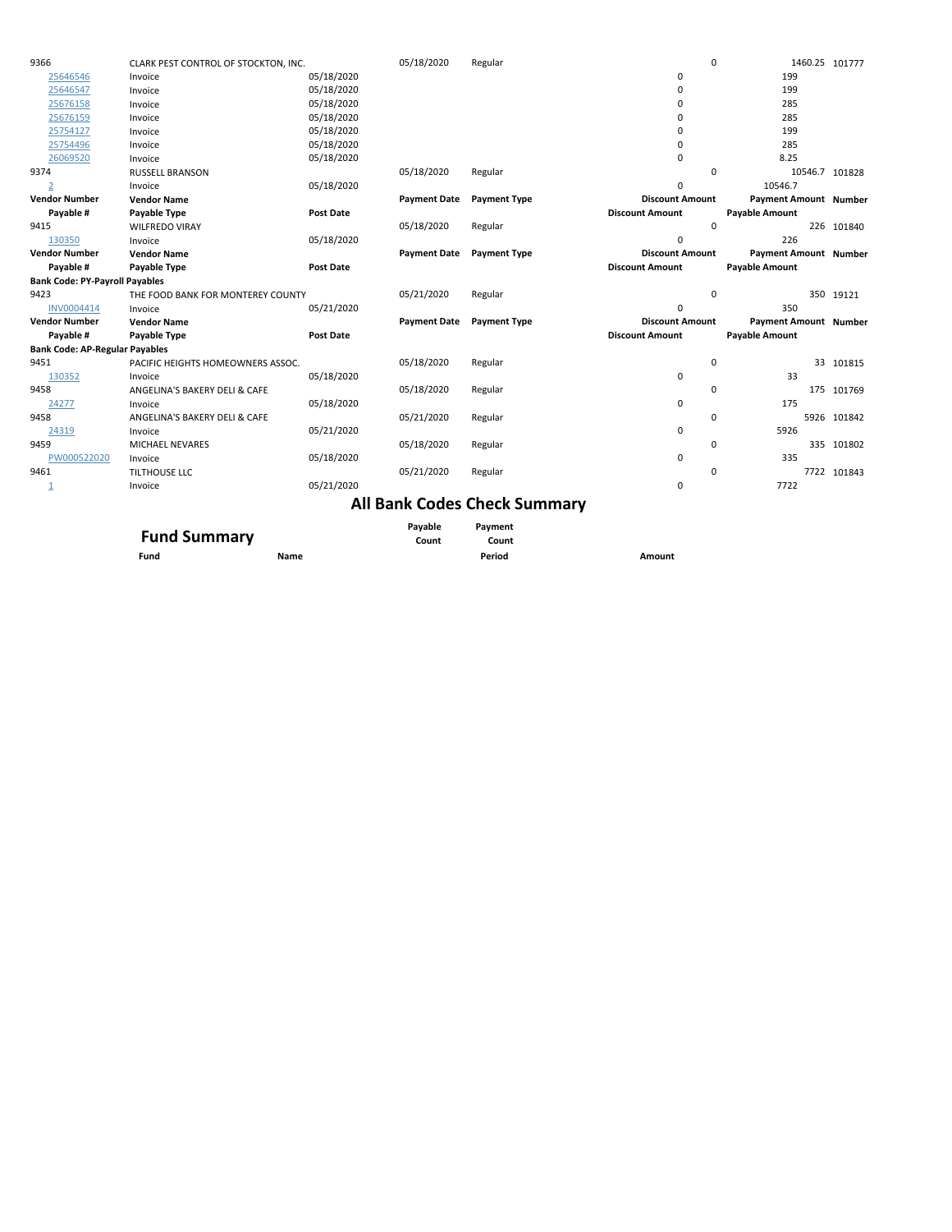| 9366                                  | CLARK PEST CONTROL OF STOCKTON, INC. |                  | 05/18/2020          | Regular             |                        | $\Omega$              | 1460.25 101777               |             |
|---------------------------------------|--------------------------------------|------------------|---------------------|---------------------|------------------------|-----------------------|------------------------------|-------------|
| 25646546                              | Invoice                              | 05/18/2020       |                     |                     | 0                      |                       | 199                          |             |
| 25646547                              | Invoice                              | 05/18/2020       |                     |                     | 0                      |                       | 199                          |             |
| 25676158                              | Invoice                              | 05/18/2020       |                     |                     | 0                      |                       | 285                          |             |
| 25676159                              | Invoice                              | 05/18/2020       |                     |                     | $\Omega$               |                       | 285                          |             |
| 25754127                              | Invoice                              | 05/18/2020       |                     |                     | $\Omega$               |                       | 199                          |             |
| 25754496                              | Invoice                              | 05/18/2020       |                     |                     | 0                      |                       | 285                          |             |
| 26069520                              | Invoice                              | 05/18/2020       |                     |                     | 0                      |                       | 8.25                         |             |
| 9374                                  | <b>RUSSELL BRANSON</b>               |                  | 05/18/2020          | Regular             |                        | $\Omega$              | 10546.7                      | 101828      |
| $\overline{2}$                        | Invoice                              | 05/18/2020       |                     |                     | 0                      |                       | 10546.7                      |             |
| <b>Vendor Number</b>                  | <b>Vendor Name</b>                   |                  | <b>Payment Date</b> | <b>Payment Type</b> | <b>Discount Amount</b> |                       | <b>Payment Amount Number</b> |             |
| Payable #                             | Payable Type                         | <b>Post Date</b> |                     |                     | <b>Discount Amount</b> | <b>Payable Amount</b> |                              |             |
| 9415                                  | <b>WILFREDO VIRAY</b>                |                  | 05/18/2020          | Regular             |                        | $\Omega$              |                              | 226 101840  |
| 130350                                | Invoice                              | 05/18/2020       |                     |                     | 0                      |                       | 226                          |             |
| <b>Vendor Number</b>                  | <b>Vendor Name</b>                   |                  | <b>Payment Date</b> | <b>Payment Type</b> | <b>Discount Amount</b> |                       | <b>Payment Amount Number</b> |             |
| Payable #                             | Payable Type                         | <b>Post Date</b> |                     |                     | <b>Discount Amount</b> | <b>Payable Amount</b> |                              |             |
| <b>Bank Code: PY-Payroll Payables</b> |                                      |                  |                     |                     |                        |                       |                              |             |
|                                       |                                      |                  |                     |                     |                        |                       |                              |             |
| 9423                                  | THE FOOD BANK FOR MONTEREY COUNTY    |                  | 05/21/2020          | Regular             |                        | $\mathbf 0$           |                              | 350 19121   |
| INV0004414                            | Invoice                              | 05/21/2020       |                     |                     | $\Omega$               |                       | 350                          |             |
| <b>Vendor Number</b>                  | <b>Vendor Name</b>                   |                  | <b>Payment Date</b> | <b>Payment Type</b> | <b>Discount Amount</b> |                       | Payment Amount Number        |             |
| Payable #                             | Payable Type                         | <b>Post Date</b> |                     |                     | <b>Discount Amount</b> | <b>Payable Amount</b> |                              |             |
| <b>Bank Code: AP-Regular Payables</b> |                                      |                  |                     |                     |                        |                       |                              |             |
| 9451                                  | PACIFIC HEIGHTS HOMEOWNERS ASSOC.    |                  | 05/18/2020          | Regular             |                        | 0                     |                              | 33 101815   |
| 130352                                | Invoice                              | 05/18/2020       |                     |                     | 0                      |                       | 33                           |             |
| 9458                                  | ANGELINA'S BAKERY DELI & CAFE        |                  | 05/18/2020          | Regular             |                        | $\Omega$              |                              | 175 101769  |
| 24277                                 | Invoice                              | 05/18/2020       |                     |                     | 0                      |                       | 175                          |             |
| 9458                                  | ANGELINA'S BAKERY DELI & CAFE        |                  | 05/21/2020          | Regular             |                        | $\Omega$              |                              | 5926 101842 |
| 24319                                 | Invoice                              | 05/21/2020       |                     |                     | $\mathbf 0$            |                       | 5926                         |             |
| 9459                                  | MICHAEL NEVARES                      |                  | 05/18/2020          | Regular             |                        | $\Omega$              |                              | 335 101802  |
| PW000522020                           | Invoice                              | 05/18/2020       |                     |                     | 0                      |                       | 335                          |             |
| 9461                                  | <b>TILTHOUSE LLC</b>                 |                  | 05/21/2020          | Regular             |                        | $\Omega$              |                              | 7722 101843 |
| 1                                     | Invoice                              | 05/21/2020       |                     |                     | 0                      |                       | 7722                         |             |

## **All Bank Codes Check Summary**

| <b>Fund Summary</b> |      | Pavable<br>Count | Payment<br>Count |        |
|---------------------|------|------------------|------------------|--------|
|                     |      |                  |                  |        |
| Fund                | Name |                  | Period           | Amount |